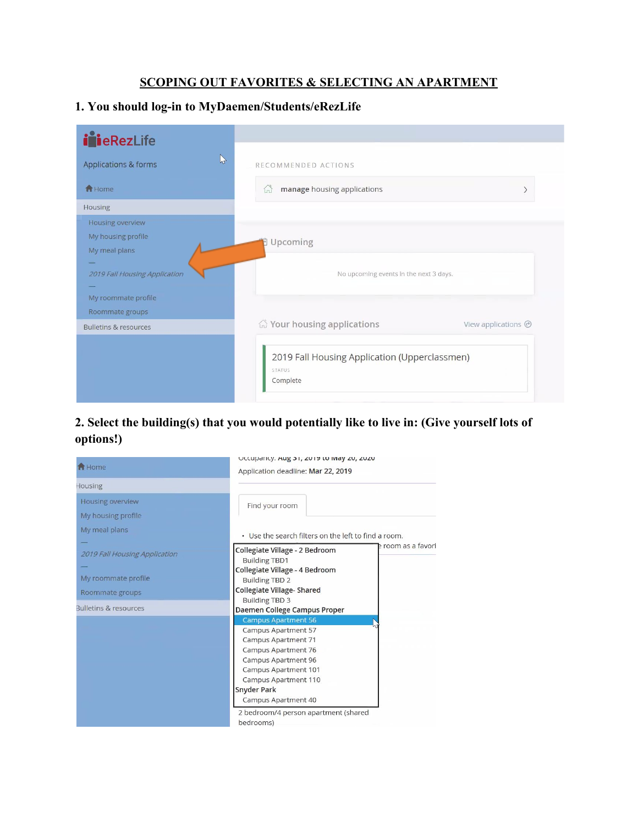## **SCOPING OUT FAVORITES & SELECTING AN APARTMENT**

## **1. You should log-in to MyDaemen/Students/eRezLife**

| <i>i</i> ieRezLife                   |                                                                            |
|--------------------------------------|----------------------------------------------------------------------------|
| $\mathbb{Z}$<br>Applications & forms | RECOMMENDED ACTIONS                                                        |
| <b>A</b> Home                        | manage housing applications<br>$\overrightarrow{m}$                        |
| Housing                              |                                                                            |
| Housing overview                     |                                                                            |
| My housing profile                   | Upcoming                                                                   |
| My meal plans                        |                                                                            |
|                                      |                                                                            |
| 2019 Fall Housing Application        | No upcoming events in the next 3 days.                                     |
| My roommate profile                  |                                                                            |
| Roommate groups                      |                                                                            |
| <b>Bulletins &amp; resources</b>     | <b>公 Your housing applications</b><br>View applications $\odot$            |
|                                      | 2019 Fall Housing Application (Upperclassmen)<br><b>STATUS</b><br>Complete |

## **2. Select the building(s) that you would potentially like to live in: (Give yourself lots of options!)**

| <b>A</b> Home                                                           | Uttupanty. Aug 31, 2015 to may 20, 2020<br>Application deadline: Mar 22, 2019                                                                                                                                                     |
|-------------------------------------------------------------------------|-----------------------------------------------------------------------------------------------------------------------------------------------------------------------------------------------------------------------------------|
| Housing                                                                 |                                                                                                                                                                                                                                   |
| Housing overview                                                        | Find your room                                                                                                                                                                                                                    |
| My housing profile                                                      |                                                                                                                                                                                                                                   |
| My meal plans                                                           | • Use the search filters on the left to find a room.                                                                                                                                                                              |
| 2019 Fall Housing Application<br>My roommate profile<br>Roommate groups | room as a favori<br>Collegiate Village - 2 Bedroom<br><b>Building TBD1</b><br>Collegiate Village - 4 Bedroom<br><b>Building TBD 2</b><br><b>Collegiate Village-Shared</b>                                                         |
| Bulletins & resources                                                   | <b>Building TBD 3</b><br>Daemen College Campus Proper                                                                                                                                                                             |
|                                                                         | <b>Campus Apartment 56</b><br><b>Campus Apartment 57</b><br>Campus Apartment 71<br><b>Campus Apartment 76</b><br>Campus Apartment 96<br>Campus Apartment 101<br>Campus Apartment 110<br><b>Snyder Park</b><br>Campus Apartment 40 |
|                                                                         | 2 bedroom/4 person apartment (shared<br>bedrooms)                                                                                                                                                                                 |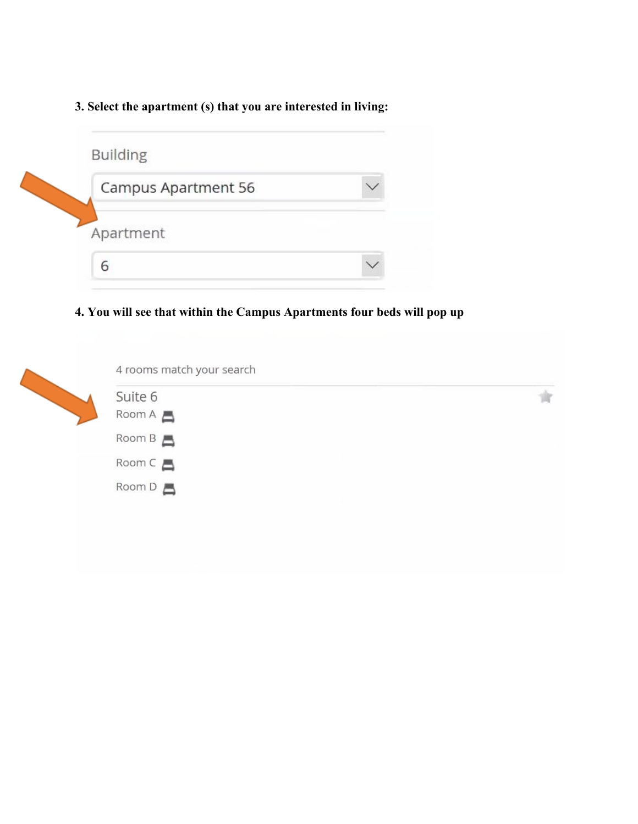**3. Select the apartment (s) that you are interested in living:**

| Campus Apartment 56 |  |
|---------------------|--|
|                     |  |
| Apartment           |  |
|                     |  |

**4. You will see that within the Campus Apartments four beds will pop up**

| Suite 6                  |  |
|--------------------------|--|
| Room A 昌                 |  |
| Room B                   |  |
| $Room C \nightharpoonup$ |  |
| Room D                   |  |
|                          |  |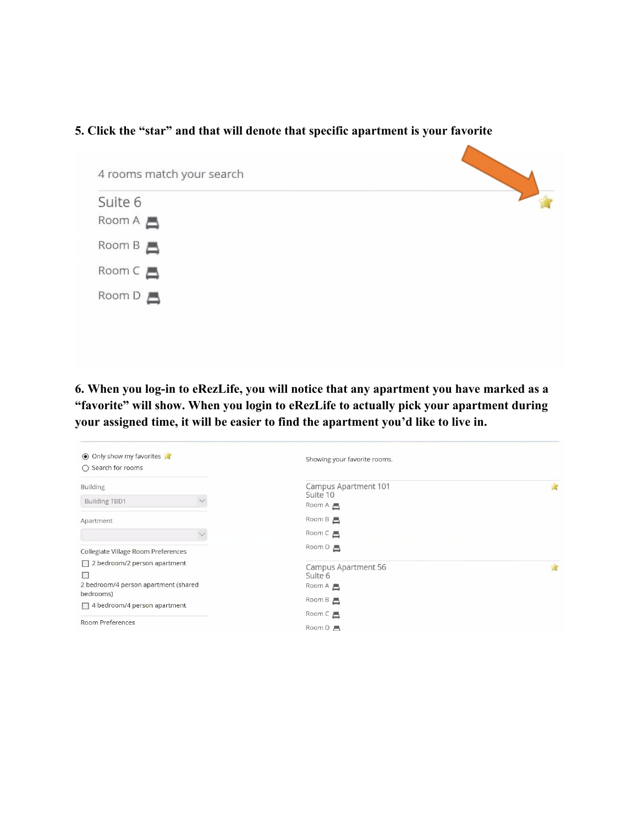## **5. Click the "star" and that will denote that specific apartment is your favorite**



**6. When you log-in to eRezLife, you will notice that any apartment you have marked as a "favorite" will show. When you login to eRezLife to actually pick your apartment during your assigned time, it will be easier to find the apartment you'd like to live in.**

| O Only show my favorites<br>$\bigcap$ Search for rooms                                        | Showing your favorite rooms.                         |   |
|-----------------------------------------------------------------------------------------------|------------------------------------------------------|---|
| <b>Building</b>                                                                               | Campus Apartment 101                                 |   |
| <b>Building TBD1</b><br>$\checkmark$                                                          | Suite 10<br>$Room A \nightharpoonup$                 |   |
| Apartment                                                                                     | Room B 昌                                             |   |
|                                                                                               | $Room C \equiv$                                      |   |
| Collegiate Village Room Preferences                                                           | Room D                                               |   |
| $\Box$ 2 bedroom/2 person apartment<br>▛<br>2 bedroom/4 person apartment (shared<br>bedrooms) | Campus Apartment 56<br>Suite 6<br>$Room A \triangle$ | Ŵ |
| $\Box$ 4 bedroom/4 person apartment                                                           | Room B 昌                                             |   |
| <b>Room Preferences</b>                                                                       | $Room C \nightharpoonup$<br>Room $D$ $\blacksquare$  |   |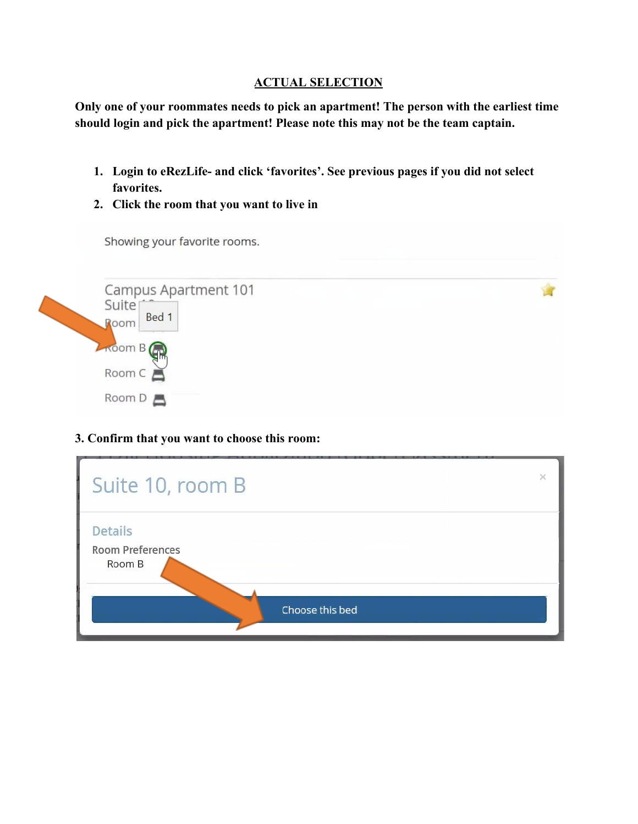#### **ACTUAL SELECTION**

**Only one of your roommates needs to pick an apartment! The person with the earliest time should login and pick the apartment! Please note this may not be the team captain.**

- **1. Login to eRezLife- and click 'favorites'. See previous pages if you did not select favorites.**
- **2. Click the room that you want to live in**

Showing your favorite rooms.



## **3. Confirm that you want to choose this room:**

| Suite 10, room B                                    |                 |  |
|-----------------------------------------------------|-----------------|--|
| <b>Details</b><br><b>Room Preferences</b><br>Room B |                 |  |
|                                                     | Choose this bed |  |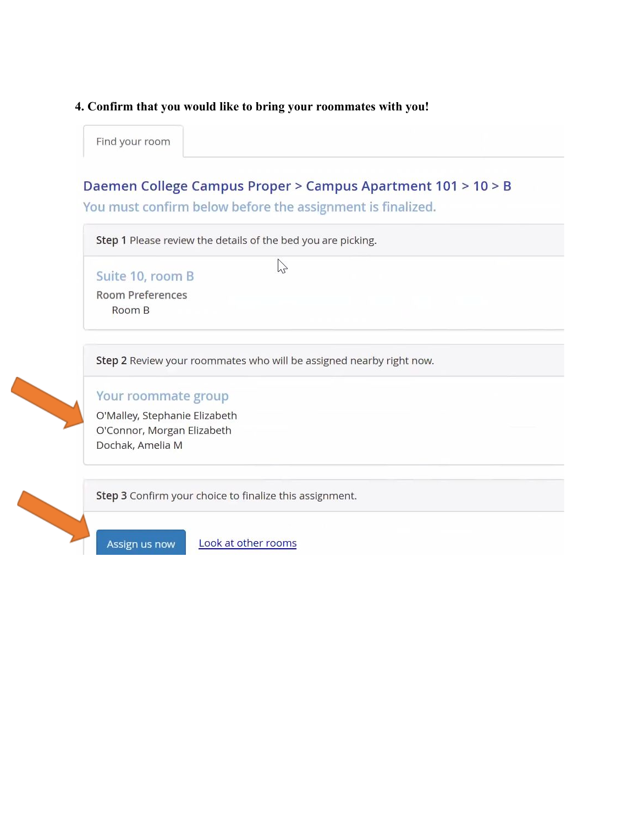#### 4. Confirm that you would like to bring your roommates with you!

Find your room

## Daemen College Campus Proper > Campus Apartment 101 > 10 > B

You must confirm below before the assignment is finalized.

Step 1 Please review the details of the bed you are picking.

Suite 10, room B **Room Preferences** Room B

 $\sum$ 

Step 2 Review your roommates who will be assigned nearby right now.



## Your roommate group

O'Malley, Stephanie Elizabeth O'Connor, Morgan Elizabeth Dochak, Amelia M

Step 3 Confirm your choice to finalize this assignment.



Look at other rooms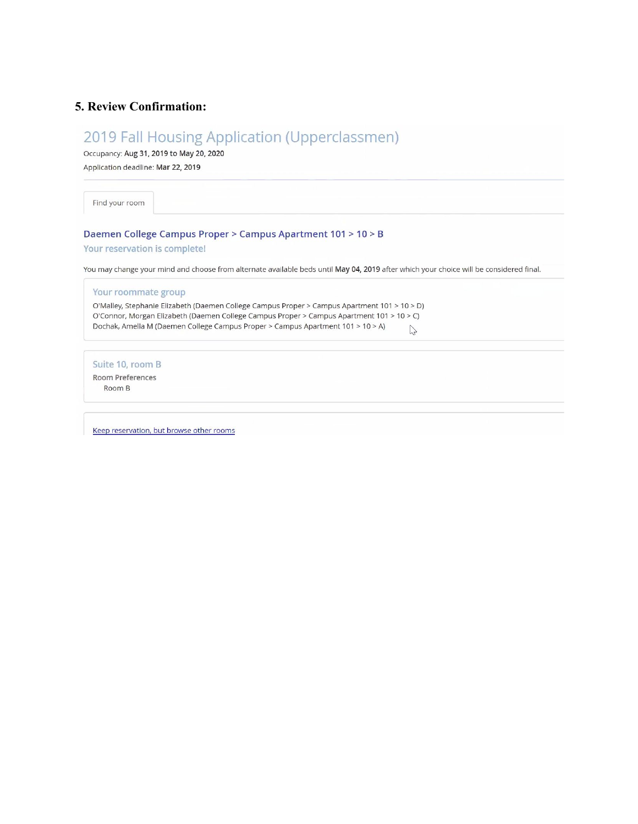#### 5. Review Confirmation:

# 2019 Fall Housing Application (Upperclassmen)

Occupancy: Aug 31, 2019 to May 20, 2020

Application deadline: Mar 22, 2019

Find your room

#### Daemen College Campus Proper > Campus Apartment 101 > 10 > B

#### Your reservation is complete!

You may change your mind and choose from alternate available beds until May 04, 2019 after which your choice will be considered final.

| Your roommate group                                                                          |    |  |  |  |
|----------------------------------------------------------------------------------------------|----|--|--|--|
| O'Malley, Stephanie Elizabeth (Daemen College Campus Proper > Campus Apartment 101 > 10 > D) |    |  |  |  |
| O'Connor, Morgan Elizabeth (Daemen College Campus Proper > Campus Apartment 101 > 10 > C)    |    |  |  |  |
| Dochak, Amelia M (Daemen College Campus Proper > Campus Apartment 101 > 10 > A)              | hP |  |  |  |
|                                                                                              |    |  |  |  |
| Suite 10, room B                                                                             |    |  |  |  |
| Room Preferences                                                                             |    |  |  |  |
| Room B                                                                                       |    |  |  |  |
|                                                                                              |    |  |  |  |
|                                                                                              |    |  |  |  |
|                                                                                              |    |  |  |  |

Keep reservation, but browse other rooms